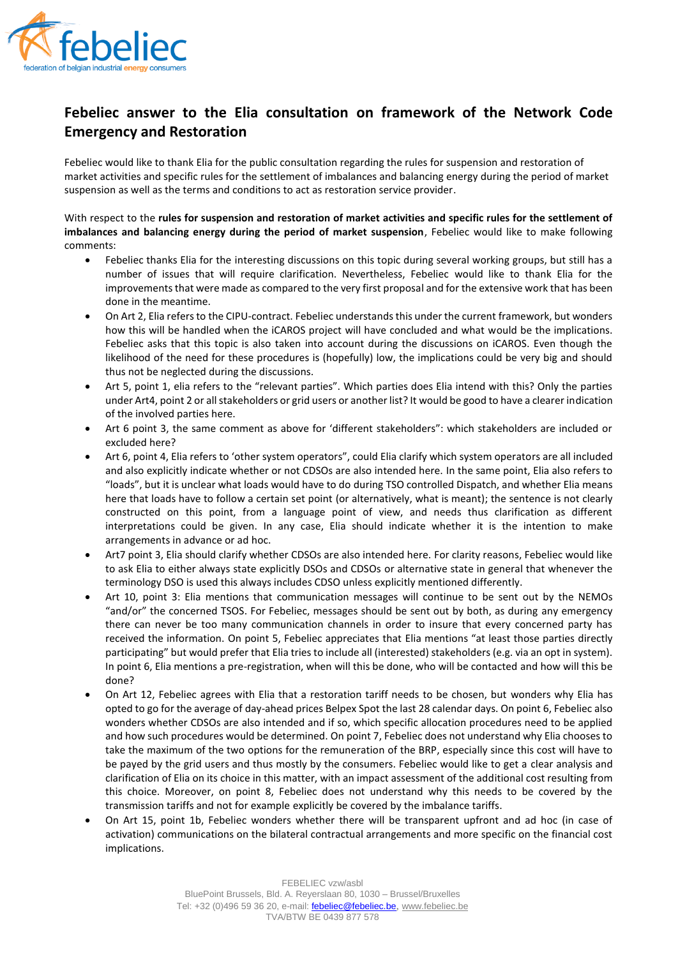

## **Febeliec answer to the Elia consultation on framework of the Network Code Emergency and Restoration**

Febeliec would like to thank Elia for the public consultation regarding the rules for suspension and restoration of market activities and specific rules for the settlement of imbalances and balancing energy during the period of market suspension as well as the terms and conditions to act as restoration service provider.

With respect to the **rules for suspension and restoration of market activities and specific rules for the settlement of imbalances and balancing energy during the period of market suspension**, Febeliec would like to make following comments:

- Febeliec thanks Elia for the interesting discussions on this topic during several working groups, but still has a number of issues that will require clarification. Nevertheless, Febeliec would like to thank Elia for the improvements that were made as compared to the very first proposal and for the extensive work that has been done in the meantime.
- On Art 2, Elia refers to the CIPU-contract. Febeliec understands this under the current framework, but wonders how this will be handled when the iCAROS project will have concluded and what would be the implications. Febeliec asks that this topic is also taken into account during the discussions on iCAROS. Even though the likelihood of the need for these procedures is (hopefully) low, the implications could be very big and should thus not be neglected during the discussions.
- Art 5, point 1, elia refers to the "relevant parties". Which parties does Elia intend with this? Only the parties under Art4, point 2 or all stakeholders or grid users or another list? It would be good to have a clearer indication of the involved parties here.
- Art 6 point 3, the same comment as above for 'different stakeholders": which stakeholders are included or excluded here?
- Art 6, point 4, Elia refers to 'other system operators", could Elia clarify which system operators are all included and also explicitly indicate whether or not CDSOs are also intended here. In the same point, Elia also refers to "loads", but it is unclear what loads would have to do during TSO controlled Dispatch, and whether Elia means here that loads have to follow a certain set point (or alternatively, what is meant); the sentence is not clearly constructed on this point, from a language point of view, and needs thus clarification as different interpretations could be given. In any case, Elia should indicate whether it is the intention to make arrangements in advance or ad hoc.
- Art7 point 3, Elia should clarify whether CDSOs are also intended here. For clarity reasons, Febeliec would like to ask Elia to either always state explicitly DSOs and CDSOs or alternative state in general that whenever the terminology DSO is used this always includes CDSO unless explicitly mentioned differently.
- Art 10, point 3: Elia mentions that communication messages will continue to be sent out by the NEMOs "and/or" the concerned TSOS. For Febeliec, messages should be sent out by both, as during any emergency there can never be too many communication channels in order to insure that every concerned party has received the information. On point 5, Febeliec appreciates that Elia mentions "at least those parties directly participating" but would prefer that Elia tries to include all (interested) stakeholders (e.g. via an opt in system). In point 6, Elia mentions a pre-registration, when will this be done, who will be contacted and how will this be done?
- On Art 12, Febeliec agrees with Elia that a restoration tariff needs to be chosen, but wonders why Elia has opted to go for the average of day-ahead prices Belpex Spot the last 28 calendar days. On point 6, Febeliec also wonders whether CDSOs are also intended and if so, which specific allocation procedures need to be applied and how such procedures would be determined. On point 7, Febeliec does not understand why Elia chooses to take the maximum of the two options for the remuneration of the BRP, especially since this cost will have to be payed by the grid users and thus mostly by the consumers. Febeliec would like to get a clear analysis and clarification of Elia on its choice in this matter, with an impact assessment of the additional cost resulting from this choice. Moreover, on point 8, Febeliec does not understand why this needs to be covered by the transmission tariffs and not for example explicitly be covered by the imbalance tariffs.
- On Art 15, point 1b, Febeliec wonders whether there will be transparent upfront and ad hoc (in case of activation) communications on the bilateral contractual arrangements and more specific on the financial cost implications.